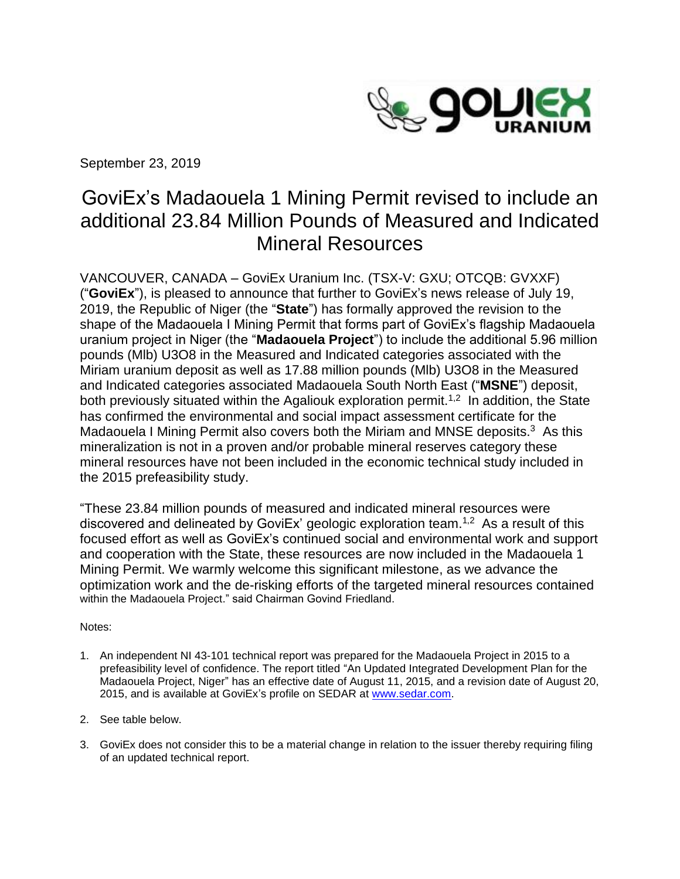

September 23, 2019

# GoviEx's Madaouela 1 Mining Permit revised to include an additional 23.84 Million Pounds of Measured and Indicated Mineral Resources

VANCOUVER, CANADA – GoviEx Uranium Inc. (TSX-V: GXU; OTCQB: GVXXF) ("**GoviEx**"), is pleased to announce that further to GoviEx's news release of July 19, 2019, the Republic of Niger (the "**State**") has formally approved the revision to the shape of the Madaouela I Mining Permit that forms part of GoviEx's flagship Madaouela uranium project in Niger (the "**Madaouela Project**") to include the additional 5.96 million pounds (Mlb) U3O8 in the Measured and Indicated categories associated with the Miriam uranium deposit as well as 17.88 million pounds (Mlb) U3O8 in the Measured and Indicated categories associated Madaouela South North East ("**MSNE**") deposit, both previously situated within the Agaliouk exploration permit.<sup>1,2</sup> In addition, the State has confirmed the environmental and social impact assessment certificate for the Madaouela I Mining Permit also covers both the Miriam and MNSE deposits.<sup>3</sup> As this mineralization is not in a proven and/or probable mineral reserves category these mineral resources have not been included in the economic technical study included in the 2015 prefeasibility study.

"These 23.84 million pounds of measured and indicated mineral resources were discovered and delineated by GoviEx' geologic exploration team.<sup>1,2</sup> As a result of this focused effort as well as GoviEx's continued social and environmental work and support and cooperation with the State, these resources are now included in the Madaouela 1 Mining Permit. We warmly welcome this significant milestone, as we advance the optimization work and the de-risking efforts of the targeted mineral resources contained within the Madaouela Project." said Chairman Govind Friedland.

#### Notes:

- 1. An independent NI 43-101 technical report was prepared for the Madaouela Project in 2015 to a prefeasibility level of confidence. The report titled "An Updated Integrated Development Plan for the Madaouela Project, Niger" has an effective date of August 11, 2015, and a revision date of August 20, 2015, and is available at GoviEx's profile on SEDAR at [www.sedar.com.](http://www.sedar.com/)
- 2. See table below.
- 3. GoviEx does not consider this to be a material change in relation to the issuer thereby requiring filing of an updated technical report.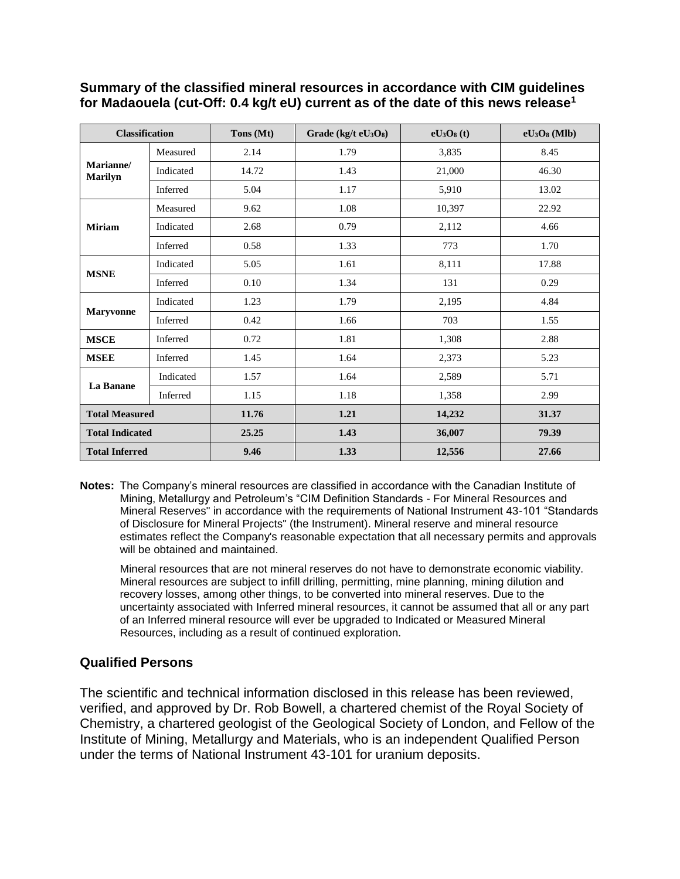## **Summary of the classified mineral resources in accordance with CIM guidelines for Madaouela (cut-Off: 0.4 kg/t eU) current as of the date of this news release<sup>1</sup>**

| <b>Classification</b>       |           | Tons (Mt) | Grade (kg/t $eU_3O_8$ ) | $eU_3O_8(t)$ | $eU3O8$ (Mlb) |
|-----------------------------|-----------|-----------|-------------------------|--------------|---------------|
| Marianne/<br><b>Marilyn</b> | Measured  | 2.14      | 1.79                    | 3,835        | 8.45          |
|                             | Indicated | 14.72     | 1.43                    | 21,000       | 46.30         |
|                             | Inferred  | 5.04      | 1.17                    | 5,910        | 13.02         |
| <b>Miriam</b>               | Measured  | 9.62      | 1.08                    | 10,397       | 22.92         |
|                             | Indicated | 2.68      | 0.79                    | 2,112        | 4.66          |
|                             | Inferred  | 0.58      | 1.33                    | 773          | 1.70          |
| <b>MSNE</b>                 | Indicated | 5.05      | 1.61                    | 8,111        | 17.88         |
|                             | Inferred  | 0.10      | 1.34                    | 131          | 0.29          |
| <b>Maryvonne</b>            | Indicated | 1.23      | 1.79                    | 2,195        | 4.84          |
|                             | Inferred  | 0.42      | 1.66                    | 703          | 1.55          |
| <b>MSCE</b>                 | Inferred  | 0.72      | 1.81                    | 1,308        | 2.88          |
| <b>MSEE</b>                 | Inferred  | 1.45      | 1.64                    | 2,373        | 5.23          |
| La Banane                   | Indicated | 1.57      | 1.64                    | 2,589        | 5.71          |
|                             | Inferred  | 1.15      | 1.18                    | 1,358        | 2.99          |
| <b>Total Measured</b>       |           | 11.76     | 1.21                    | 14,232       | 31.37         |
| <b>Total Indicated</b>      |           | 25.25     | 1.43                    | 36,007       | 79.39         |
| <b>Total Inferred</b>       |           | 9.46      | 1.33                    | 12,556       | 27.66         |

**Notes:** The Company's mineral resources are classified in accordance with the Canadian Institute of Mining, Metallurgy and Petroleum's "CIM Definition Standards - For Mineral Resources and Mineral Reserves" in accordance with the requirements of National Instrument 43-101 "Standards of Disclosure for Mineral Projects" (the Instrument). Mineral reserve and mineral resource estimates reflect the Company's reasonable expectation that all necessary permits and approvals will be obtained and maintained.

Mineral resources that are not mineral reserves do not have to demonstrate economic viability. Mineral resources are subject to infill drilling, permitting, mine planning, mining dilution and recovery losses, among other things, to be converted into mineral reserves. Due to the uncertainty associated with Inferred mineral resources, it cannot be assumed that all or any part of an Inferred mineral resource will ever be upgraded to Indicated or Measured Mineral Resources, including as a result of continued exploration.

# **Qualified Persons**

The scientific and technical information disclosed in this release has been reviewed, verified, and approved by Dr. Rob Bowell, a chartered chemist of the Royal Society of Chemistry, a chartered geologist of the Geological Society of London, and Fellow of the Institute of Mining, Metallurgy and Materials, who is an independent Qualified Person under the terms of National Instrument 43-101 for uranium deposits.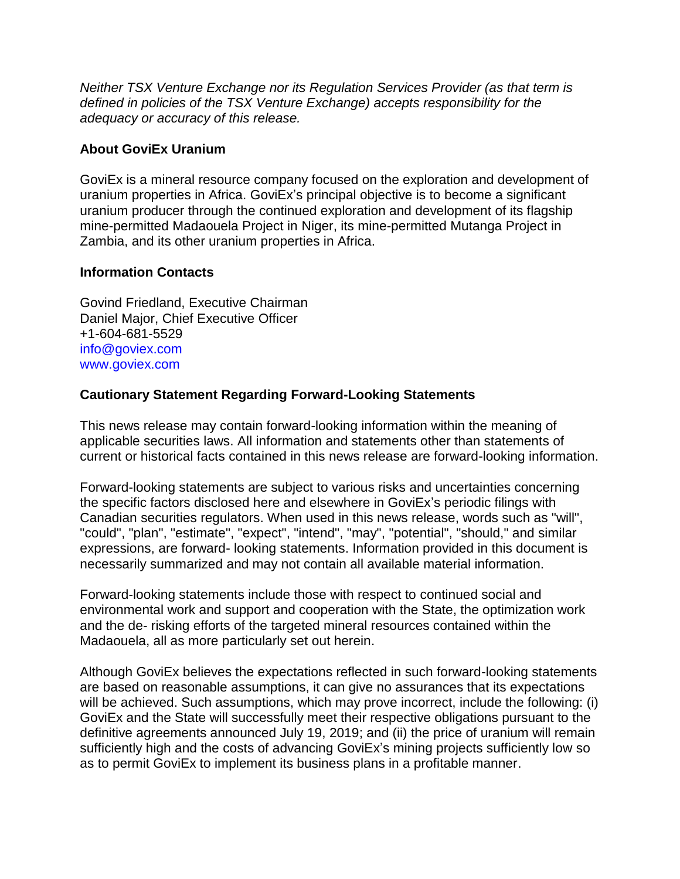*Neither TSX Venture Exchange nor its Regulation Services Provider (as that term is defined in policies of the TSX Venture Exchange) accepts responsibility for the adequacy or accuracy of this release.* 

## **About GoviEx Uranium**

GoviEx is a mineral resource company focused on the exploration and development of uranium properties in Africa. GoviEx's principal objective is to become a significant uranium producer through the continued exploration and development of its flagship mine-permitted Madaouela Project in Niger, its mine-permitted Mutanga Project in Zambia, and its other uranium properties in Africa.

#### **Information Contacts**

Govind Friedland, Executive Chairman Daniel Major, Chief Executive Officer +1-604-681-5529 info@goviex.com www.goviex.com

# **Cautionary Statement Regarding Forward-Looking Statements**

This news release may contain forward-looking information within the meaning of applicable securities laws. All information and statements other than statements of current or historical facts contained in this news release are forward-looking information.

Forward-looking statements are subject to various risks and uncertainties concerning the specific factors disclosed here and elsewhere in GoviEx's periodic filings with Canadian securities regulators. When used in this news release, words such as "will", "could", "plan", "estimate", "expect", "intend", "may", "potential", "should," and similar expressions, are forward- looking statements. Information provided in this document is necessarily summarized and may not contain all available material information.

Forward-looking statements include those with respect to continued social and environmental work and support and cooperation with the State, the optimization work and the de- risking efforts of the targeted mineral resources contained within the Madaouela, all as more particularly set out herein.

Although GoviEx believes the expectations reflected in such forward-looking statements are based on reasonable assumptions, it can give no assurances that its expectations will be achieved. Such assumptions, which may prove incorrect, include the following: (i) GoviEx and the State will successfully meet their respective obligations pursuant to the definitive agreements announced July 19, 2019; and (ii) the price of uranium will remain sufficiently high and the costs of advancing GoviEx's mining projects sufficiently low so as to permit GoviEx to implement its business plans in a profitable manner.